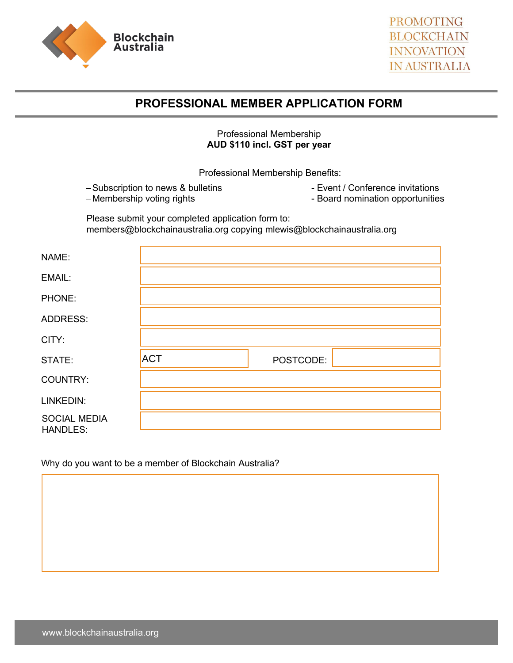



## **PROFESSIONAL MEMBER APPLICATION FORM**

## Professional Membership **AUD \$110 incl. GST per year**

Professional Membership Benefits:

−Subscription to news & bulletins −Membership voting rights

- Event / Conference invitations

- Board nomination opportunities

Please submit your completed application form to: members@blockchainaustralia.org copying mlewis@blockchainaustralia.org

| NAME:                           |            |           |  |
|---------------------------------|------------|-----------|--|
| EMAIL:                          |            |           |  |
| PHONE:                          |            |           |  |
| <b>ADDRESS:</b>                 |            |           |  |
| CITY:                           |            |           |  |
| STATE:                          | <b>ACT</b> | POSTCODE: |  |
| COUNTRY:                        |            |           |  |
| LINKEDIN:                       |            |           |  |
| <b>SOCIAL MEDIA</b><br>HANDLES: |            |           |  |

Why do you want to be a member of Blockchain Australia?